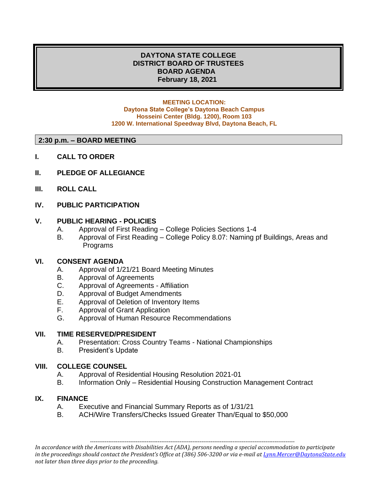# **DAYTONA STATE COLLEGE DISTRICT BOARD OF TRUSTEES BOARD AGENDA February 18, 2021**

#### **MEETING LOCATION: Daytona State College's Daytona Beach Campus Hosseini Center (Bldg. 1200), Room 103 1200 W. International Speedway Blvd, Daytona Beach, FL**

#### **2:30 p.m. – BOARD MEETING**

- **I. CALL TO ORDER**
- **II. PLEDGE OF ALLEGIANCE**
- **III. ROLL CALL**

### **IV. PUBLIC PARTICIPATION**

## **V. PUBLIC HEARING - POLICIES**

- A. Approval of First Reading College Policies Sections 1-4
- B. Approval of First Reading College Policy 8.07: Naming pf Buildings, Areas and Programs

### **VI. CONSENT AGENDA**

- A. Approval of 1/21/21 Board Meeting Minutes
- B. Approval of Agreements
- C. Approval of Agreements Affiliation
- D. Approval of Budget Amendments
- E. Approval of Deletion of Inventory Items
- F. Approval of Grant Application
- G. Approval of Human Resource Recommendations

#### **VII. TIME RESERVED/PRESIDENT**

- A. Presentation: Cross Country Teams National Championships
- B. President's Update

### **VIII. COLLEGE COUNSEL**

- A. Approval of Residential Housing Resolution 2021-01
- B. Information Only Residential Housing Construction Management Contract

### **IX. FINANCE**

- A. Executive and Financial Summary Reports as of 1/31/21
- B. ACH/Wire Transfers/Checks Issued Greater Than/Equal to \$50,000

*In accordance with the Americans with Disabilities Act (ADA), persons needing a special accommodation to participate in the proceedings should contact the President's Office at (386) 506-3200 or via e-mail a[t Lynn.Mercer@DaytonaState.edu](mailto:Lynn.Mercer@DaytonaState.edu) not later than three days prior to the proceeding.*